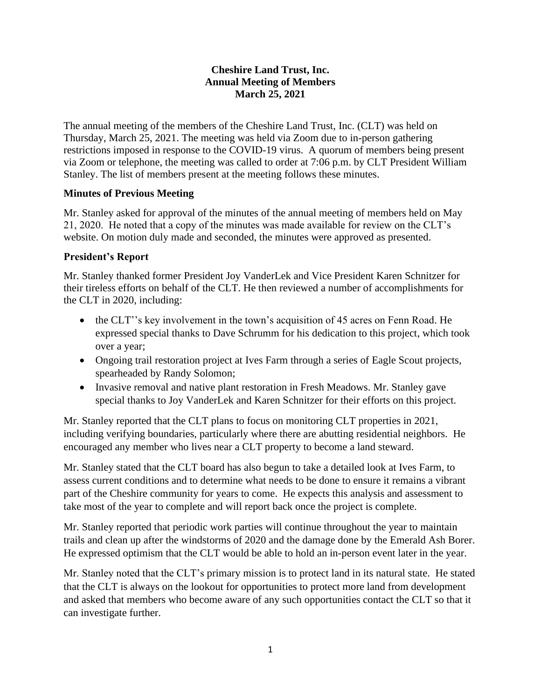## **Cheshire Land Trust, Inc. Annual Meeting of Members March 25, 2021**

The annual meeting of the members of the Cheshire Land Trust, Inc. (CLT) was held on Thursday, March 25, 2021. The meeting was held via Zoom due to in-person gathering restrictions imposed in response to the COVID-19 virus. A quorum of members being present via Zoom or telephone, the meeting was called to order at 7:06 p.m. by CLT President William Stanley. The list of members present at the meeting follows these minutes.

## **Minutes of Previous Meeting**

Mr. Stanley asked for approval of the minutes of the annual meeting of members held on May 21, 2020. He noted that a copy of the minutes was made available for review on the CLT's website. On motion duly made and seconded, the minutes were approved as presented.

# **President's Report**

Mr. Stanley thanked former President Joy VanderLek and Vice President Karen Schnitzer for their tireless efforts on behalf of the CLT. He then reviewed a number of accomplishments for the CLT in 2020, including:

- the CLT"'s key involvement in the town's acquisition of 45 acres on Fenn Road. He expressed special thanks to Dave Schrumm for his dedication to this project, which took over a year;
- Ongoing trail restoration project at Ives Farm through a series of Eagle Scout projects, spearheaded by Randy Solomon;
- Invasive removal and native plant restoration in Fresh Meadows. Mr. Stanley gave special thanks to Joy VanderLek and Karen Schnitzer for their efforts on this project.

Mr. Stanley reported that the CLT plans to focus on monitoring CLT properties in 2021, including verifying boundaries, particularly where there are abutting residential neighbors. He encouraged any member who lives near a CLT property to become a land steward.

Mr. Stanley stated that the CLT board has also begun to take a detailed look at Ives Farm, to assess current conditions and to determine what needs to be done to ensure it remains a vibrant part of the Cheshire community for years to come. He expects this analysis and assessment to take most of the year to complete and will report back once the project is complete.

Mr. Stanley reported that periodic work parties will continue throughout the year to maintain trails and clean up after the windstorms of 2020 and the damage done by the Emerald Ash Borer. He expressed optimism that the CLT would be able to hold an in-person event later in the year.

Mr. Stanley noted that the CLT's primary mission is to protect land in its natural state. He stated that the CLT is always on the lookout for opportunities to protect more land from development and asked that members who become aware of any such opportunities contact the CLT so that it can investigate further.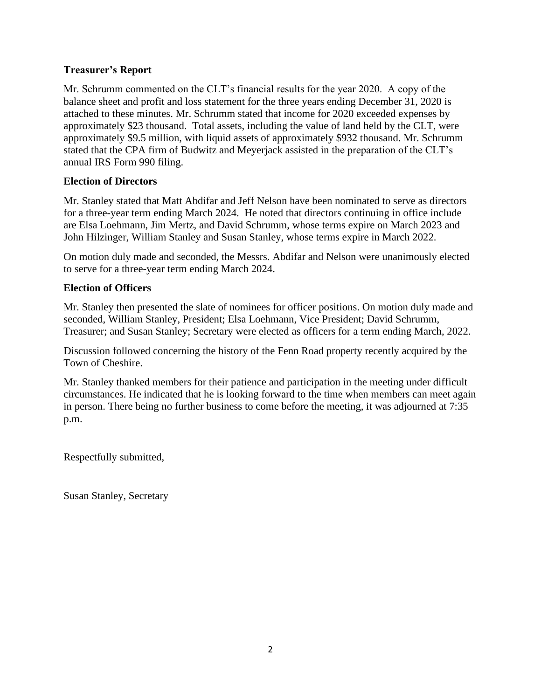### **Treasurer's Report**

Mr. Schrumm commented on the CLT's financial results for the year 2020. A copy of the balance sheet and profit and loss statement for the three years ending December 31, 2020 is attached to these minutes. Mr. Schrumm stated that income for 2020 exceeded expenses by approximately \$23 thousand. Total assets, including the value of land held by the CLT, were approximately \$9.5 million, with liquid assets of approximately \$932 thousand. Mr. Schrumm stated that the CPA firm of Budwitz and Meyerjack assisted in the preparation of the CLT's annual IRS Form 990 filing.

### **Election of Directors**

Mr. Stanley stated that Matt Abdifar and Jeff Nelson have been nominated to serve as directors for a three-year term ending March 2024. He noted that directors continuing in office include are Elsa Loehmann, Jim Mertz, and David Schrumm, whose terms expire on March 2023 and John Hilzinger, William Stanley and Susan Stanley, whose terms expire in March 2022.

On motion duly made and seconded, the Messrs. Abdifar and Nelson were unanimously elected to serve for a three-year term ending March 2024.

### **Election of Officers**

Mr. Stanley then presented the slate of nominees for officer positions. On motion duly made and seconded, William Stanley, President; Elsa Loehmann, Vice President; David Schrumm, Treasurer; and Susan Stanley; Secretary were elected as officers for a term ending March, 2022.

Discussion followed concerning the history of the Fenn Road property recently acquired by the Town of Cheshire.

Mr. Stanley thanked members for their patience and participation in the meeting under difficult circumstances. He indicated that he is looking forward to the time when members can meet again in person. There being no further business to come before the meeting, it was adjourned at 7:35 p.m.

Respectfully submitted,

Susan Stanley, Secretary